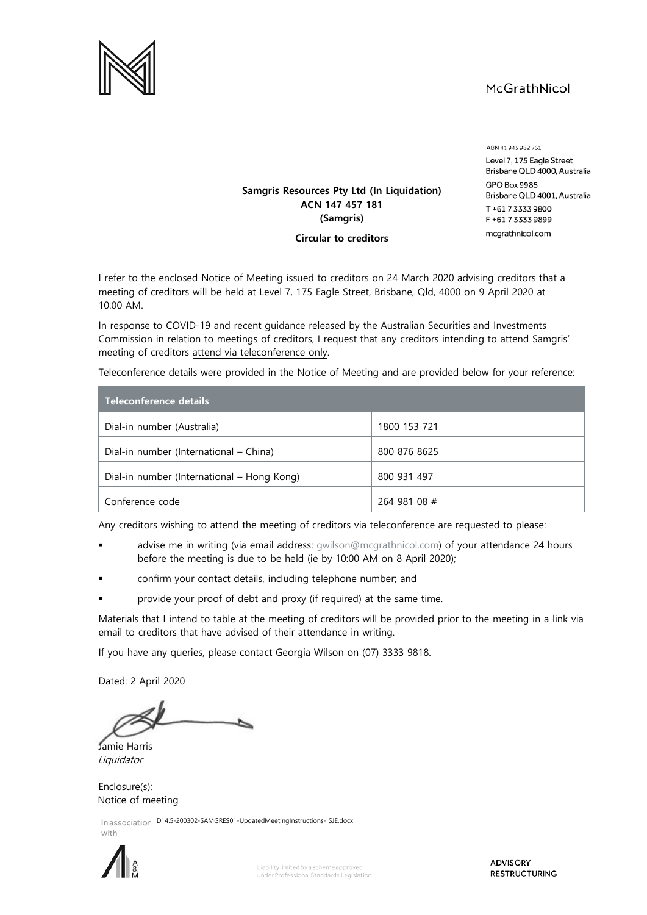# McGrathNicol



ABN 41945982761 Level 7, 175 Eagle Street Brisbane QLD 4000, Australia **GPO Box 9986** Brisbane QLD 4001, Australia T+61733339800 F+61733339899 mcgrathnicol.com

## **Samgris Resources Pty Ltd (In Liquidation) ACN 147 457 181 (Samgris)**

**Circular to creditors**

I refer to the enclosed Notice of Meeting issued to creditors on 24 March 2020 advising creditors that a meeting of creditors will be held at Level 7, 175 Eagle Street, Brisbane, Qld, 4000 on 9 April 2020 at 10:00 AM.

In response to COVID-19 and recent guidance released by the Australian Securities and Investments Commission in relation to meetings of creditors, I request that any creditors intending to attend Samgris' meeting of creditors attend via teleconference only.

Teleconference details were provided in the Notice of Meeting and are provided below for your reference:

| Teleconference details                     |              |
|--------------------------------------------|--------------|
| Dial-in number (Australia)                 | 1800 153 721 |
| Dial-in number (International – China)     | 800 876 8625 |
| Dial-in number (International – Hong Kong) | 800 931 497  |
| Conference code                            | 264 981 08 # |

Any creditors wishing to attend the meeting of creditors via teleconference are requested to please:

- advise me in writing (via email address: qwilson@mcgrathnicol.com) of your attendance 24 hours before the meeting is due to be held (ie by 10:00 AM on 8 April 2020);
- confirm your contact details, including telephone number; and
- provide your proof of debt and proxy (if required) at the same time.

Materials that I intend to table at the meeting of creditors will be provided prior to the meeting in a link via email to creditors that have advised of their attendance in writing.

If you have any queries, please contact Georgia Wilson on (07) 3333 9818.

Dated: 2 April 2020

Jamie Harris Liquidator

Enclosure(s): Notice of meeting

In association D14.5-200302-SAMGRES01-UpdatedMeetingInstructions-SJE.docx with



**ADVISORY RESTRUCTURING**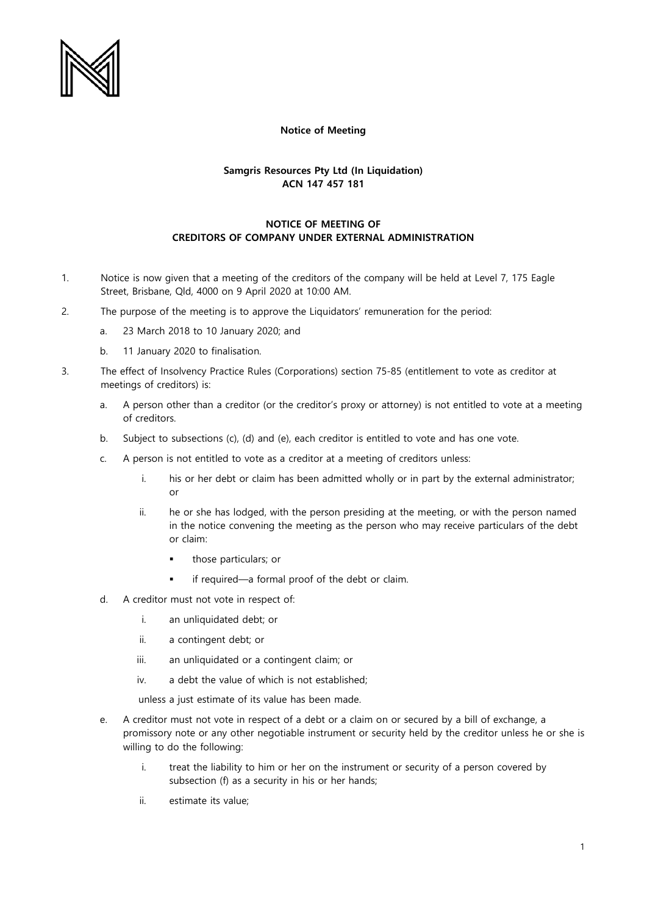

#### **Notice of Meeting**

#### **Samgris Resources Pty Ltd (In Liquidation) ACN 147 457 181**

### **NOTICE OF MEETING OF CREDITORS OF COMPANY UNDER EXTERNAL ADMINISTRATION**

- 1. Notice is now given that a meeting of the creditors of the company will be held at Level 7, 175 Eagle Street, Brisbane, Qld, 4000 on 9 April 2020 at 10:00 AM.
- 2. The purpose of the meeting is to approve the Liquidators' remuneration for the period:
	- a. 23 March 2018 to 10 January 2020; and
	- b. 11 January 2020 to finalisation.
- 3. The effect of Insolvency Practice Rules (Corporations) section 75-85 (entitlement to vote as creditor at meetings of creditors) is:
	- a. A person other than a creditor (or the creditor's proxy or attorney) is not entitled to vote at a meeting of creditors.
	- b. Subject to subsections (c), (d) and (e), each creditor is entitled to vote and has one vote.
	- c. A person is not entitled to vote as a creditor at a meeting of creditors unless:
		- i. his or her debt or claim has been admitted wholly or in part by the external administrator; or
		- ii. he or she has lodged, with the person presiding at the meeting, or with the person named in the notice convening the meeting as the person who may receive particulars of the debt or claim:
			- those particulars; or
			- if required—a formal proof of the debt or claim.
	- d. A creditor must not vote in respect of:
		- i. an unliquidated debt; or
		- ii. a contingent debt; or
		- iii. an unliquidated or a contingent claim; or
		- iv. a debt the value of which is not established;

unless a just estimate of its value has been made.

- e. A creditor must not vote in respect of a debt or a claim on or secured by a bill of exchange, a promissory note or any other negotiable instrument or security held by the creditor unless he or she is willing to do the following:
	- i. treat the liability to him or her on the instrument or security of a person covered by subsection (f) as a security in his or her hands;
	- ii. estimate its value;